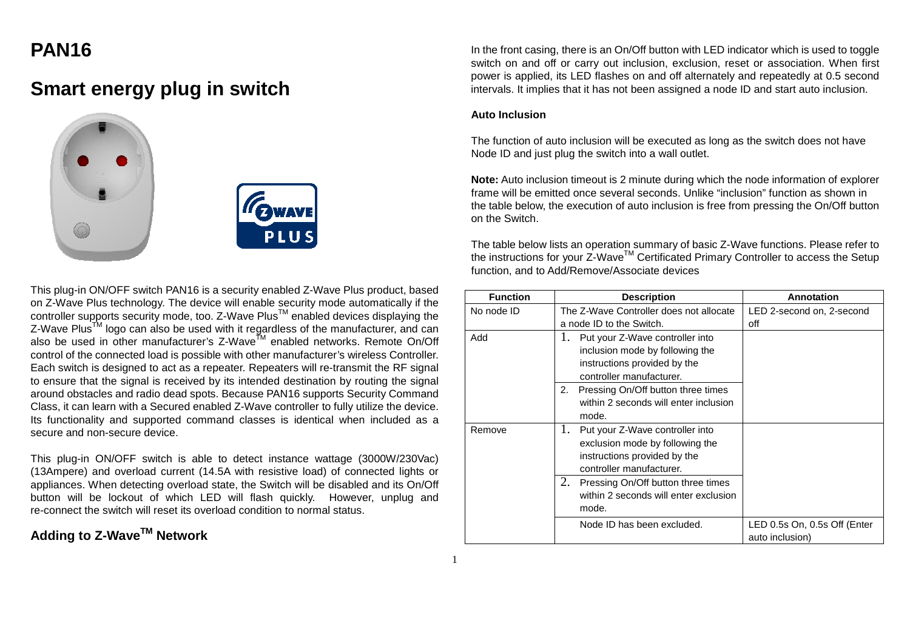# **PAN16**

# **Smart energy plug in switch**





This plug-in ON/OFF switch PAN16 is a security enabled Z-Wave Plus product, based on Z-Wave Plus technology. The device will enable security mode automatically if the controller supports security mode, too. Z-Wave Plus $^{\text{\tiny{\textsf{TM}}}}$  enabled devices displaying the Z-Wave Plus<sup>TM</sup> logo can also be used with it regardless of the manufacturer, and can also be used in other manufacturer's Z-Wave<sup>TM</sup> enabled networks. Remote On/Off control of the connected load is possible with other manufacturer's wireless Controller. Each switch is designed to act as a repeater. Repeaters will re-transmit the RF signal to ensure that the signal is received by its intended destination by routing the signal around obstacles and radio dead spots. Because PAN16 supports Security Command Class, it can learn with a Secured enabled Z-Wave controller to fully utilize the device. Its functionality and supported command classes is identical when included as a secure and non-secure device.

This plug-in ON/OFF switch is able to detect instance wattage (3000W/230Vac) (13Ampere) and overload current (14.5A with resistive load) of connected lights or appliances. When detecting overload state, the Switch will be disabled and its On/Off button will be lockout of which LED will flash quickly. However, unplug and re-connect the switch will reset its overload condition to normal status.

# **Adding to Z-WaveTM Network**

In the front casing, there is an On/Off button with LED indicator which is used to toggle switch on and off or carry out inclusion, exclusion, reset or association. When first power is applied, its LED flashes on and off alternately and repeatedly at 0.5 second intervals. It implies that it has not been assigned a node ID and start auto inclusion.

## **Auto Inclusion**

The function of auto inclusion will be executed as long as the switch does not have Node ID and just plug the switch into a wall outlet.

**Note:** Auto inclusion timeout is 2 minute during which the node information of explorer frame will be emitted once several seconds. Unlike "inclusion" function as shown in the table below, the execution of auto inclusion is free from pressing the On/Off button on the Switch.

The table below lists an operation summary of basic Z-Wave functions. Please refer to the instructions for your Z-Wave<sup>TM</sup> Certificated Primary Controller to access the Setup function, and to Add/Remove/Associate devices

| <b>Function</b> | <b>Description</b>                                                                                                                         | Annotation                                      |
|-----------------|--------------------------------------------------------------------------------------------------------------------------------------------|-------------------------------------------------|
| No node ID      | The Z-Wave Controller does not allocate                                                                                                    | LED 2-second on, 2-second                       |
|                 | a node ID to the Switch.                                                                                                                   | off                                             |
| Add             | 1.<br>Put your Z-Wave controller into<br>inclusion mode by following the<br>instructions provided by the<br>controller manufacturer.<br>2. |                                                 |
|                 | Pressing On/Off button three times<br>within 2 seconds will enter inclusion<br>mode.                                                       |                                                 |
| Remove          | Put your Z-Wave controller into<br>1.<br>exclusion mode by following the<br>instructions provided by the<br>controller manufacturer.       |                                                 |
|                 | 2.<br>Pressing On/Off button three times<br>within 2 seconds will enter exclusion<br>mode.                                                 |                                                 |
|                 | Node ID has been excluded.                                                                                                                 | LED 0.5s On, 0.5s Off (Enter<br>auto inclusion) |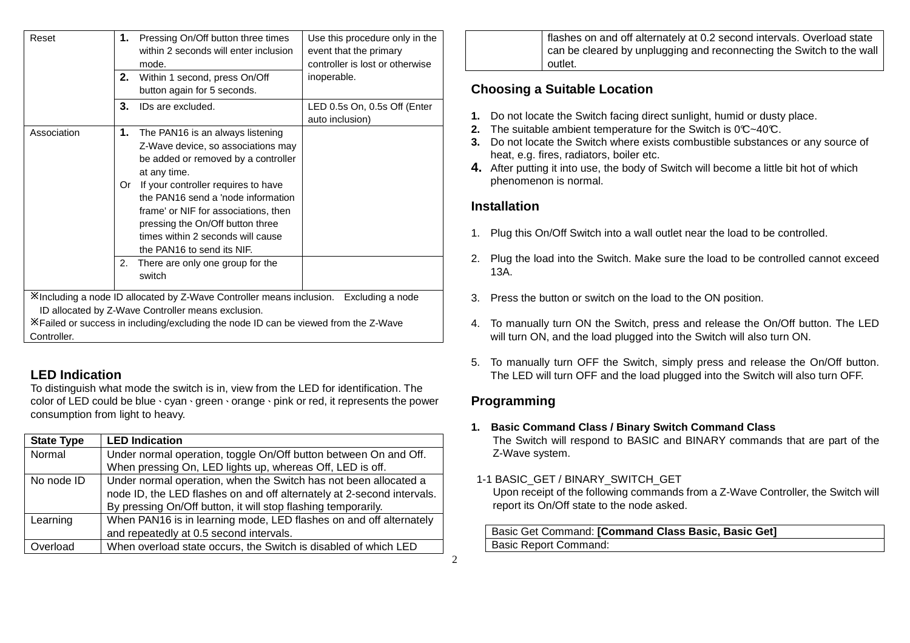| Reset       | 1.<br>2. | Pressing On/Off button three times<br>within 2 seconds will enter inclusion<br>mode.<br>Within 1 second, press On/Off<br>button again for 5 seconds.                                                                                | Use this procedure only in the<br>event that the primary<br>controller is lost or otherwise<br>inoperable. |
|-------------|----------|-------------------------------------------------------------------------------------------------------------------------------------------------------------------------------------------------------------------------------------|------------------------------------------------------------------------------------------------------------|
|             | 3.       | IDs are excluded.                                                                                                                                                                                                                   | LED 0.5s On, 0.5s Off (Enter<br>auto inclusion)                                                            |
| Association | 1.       | The PAN16 is an always listening<br>Z-Wave device, so associations may<br>be added or removed by a controller<br>at any time.                                                                                                       |                                                                                                            |
|             | Or       | If your controller requires to have<br>the PAN16 send a 'node information<br>frame' or NIF for associations, then<br>pressing the On/Off button three<br>times within 2 seconds will cause<br>the PAN16 to send its NIF.            |                                                                                                            |
|             | 2.       | There are only one group for the<br>switch                                                                                                                                                                                          |                                                                                                            |
| Controller. |          | Xincluding a node ID allocated by Z-Wave Controller means inclusion. Excluding a node<br>ID allocated by Z-Wave Controller means exclusion.<br>X Failed or success in including/excluding the node ID can be viewed from the Z-Wave |                                                                                                            |

# **LED Indication**

 To distinguish what mode the switch is in, view from the LED for identification. The color of LED could be blue、cyan、green、orange、pink or red, it represents the power consumption from light to heavy.

| <b>State Type</b> | <b>LED Indication</b>                                                  |
|-------------------|------------------------------------------------------------------------|
| Normal            | Under normal operation, toggle On/Off button between On and Off.       |
|                   | When pressing On, LED lights up, whereas Off, LED is off.              |
| No node ID        | Under normal operation, when the Switch has not been allocated a       |
|                   | node ID, the LED flashes on and off alternately at 2-second intervals. |
|                   | By pressing On/Off button, it will stop flashing temporarily.          |
| Learning          | When PAN16 is in learning mode, LED flashes on and off alternately     |
|                   | and repeatedly at 0.5 second intervals.                                |
| Overload          | When overload state occurs, the Switch is disabled of which LED        |

flashes on and off alternately at 0.2 second intervals. Overload state can be cleared by unplugging and reconnecting the Switch to the wall outlet.

## **Choosing a Suitable Location**

- **1.** Do not locate the Switch facing direct sunlight, humid or dusty place.
- **2.** The suitable ambient temperature for the Switch is 0°C~40°C.
- **3.** Do not locate the Switch where exists combustible substances or any source of heat, e.g. fires, radiators, boiler etc.
- **4.** After putting it into use, the body of Switch will become a little bit hot of which phenomenon is normal.

## **Installation**

- 1. Plug this On/Off Switch into a wall outlet near the load to be controlled.
- 2. Plug the load into the Switch. Make sure the load to be controlled cannot exceed 13A.
- 3. Press the button or switch on the load to the ON position.
- 4. To manually turn ON the Switch, press and release the On/Off button. The LED will turn ON, and the load plugged into the Switch will also turn ON.
- 5. To manually turn OFF the Switch, simply press and release the On/Off button. The LED will turn OFF and the load plugged into the Switch will also turn OFF.

# **Programming**

2

- **1. Basic Command Class / Binary Switch Command Class** The Switch will respond to BASIC and BINARY commands that are part of the Z-Wave system.
- 1-1 BASIC\_GET / BINARY\_SWITCH\_GET Upon receipt of the following commands from a Z-Wave Controller, the Switch will report its On/Off state to the node asked.

## Basic Get Command: **[Command Class Basic, Basic Get]**Basic Report Command: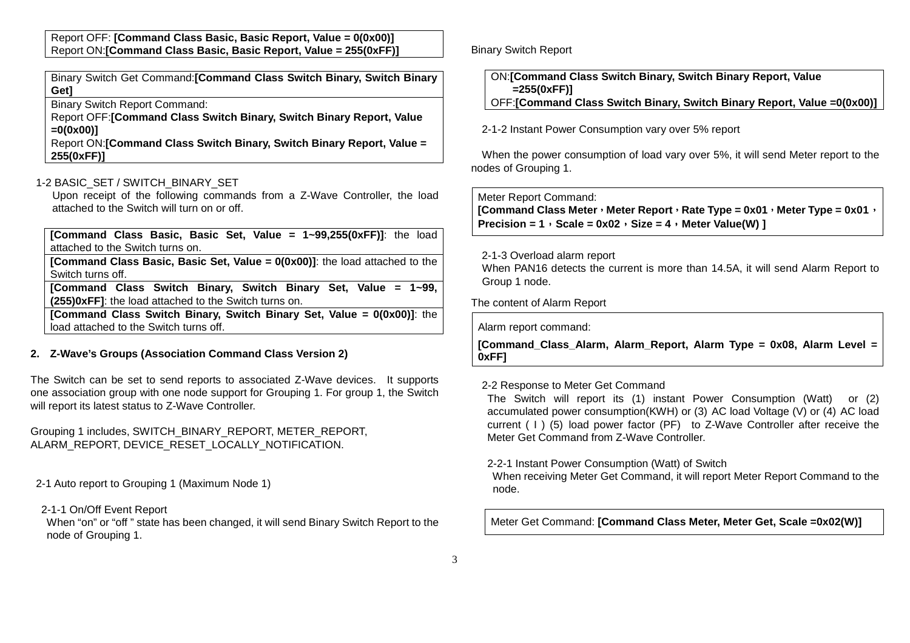Report OFF: **[Command Class Basic, Basic Report, Value = 0(0x00)]**Report ON:**[Command Class Basic, Basic Report, Value = 255(0xFF)]**

Binary Switch Get Command:**[Command Class Switch Binary, Switch Binary Get]**

Binary Switch Report Command:

 Report OFF:**[Command Class Switch Binary, Switch Binary Report, Value =0(0x00)]**

 Report ON:**[Command Class Switch Binary, Switch Binary Report, Value = 255(0xFF)]**

#### 1-2 BASIC\_SET / SWITCH\_BINARY\_SET

 Upon receipt of the following commands from a Z-Wave Controller, the load attached to the Switch will turn on or off.

**[Command Class Basic, Basic Set, Value = 1~99,255(0xFF)]**: the load attached to the Switch turns on.

 **[Command Class Basic, Basic Set, Value = 0(0x00)]**: the load attached to the Switch turns off.

 **[Command Class Switch Binary, Switch Binary Set, Value = 1~99, (255)0xFF]**: the load attached to the Switch turns on.

 **[Command Class Switch Binary, Switch Binary Set, Value = 0(0x00)]**: the load attached to the Switch turns off.

#### **2. Z-Wave's Groups (Association Command Class Version 2)**

The Switch can be set to send reports to associated Z-Wave devices. It supports one association group with one node support for Grouping 1. For group 1, the Switch will report its latest status to Z-Wave Controller.

Grouping 1 includes, SWITCH\_BINARY\_REPORT, METER\_REPORT, ALARM\_REPORT, DEVICE\_RESET\_LOCALLY\_NOTIFICATION.

2-1 Auto report to Grouping 1 (Maximum Node 1)

2-1-1 On/Off Event Report

 When "on" or "off " state has been changed, it will send Binary Switch Report to the node of Grouping 1.

Binary Switch Report

ON:**[Command Class Switch Binary, Switch Binary Report, Value =255(0xFF)]**OFF:**[Command Class Switch Binary, Switch Binary Report, Value =0(0x00)]**

2-1-2 Instant Power Consumption vary over 5% report

When the power consumption of load vary over 5%, it will send Meter report to the nodes of Grouping 1.

Meter Report Command:

 **[Command Class Meter**,**Meter Report**,**Rate Type = 0x01**,**Meter Type = 0x01**,**Precision = 1**, Scale =  $0x02$ , Size =  $4$ , Meter Value(W) 1

#### 2-1-3 Overload alarm report

 When PAN16 detects the current is more than 14.5A, it will send Alarm Report to Group 1 node.

The content of Alarm Report

Alarm report command:

**[Command\_Class\_Alarm, Alarm\_Report, Alarm Type = 0x08, Alarm Level = 0xFF]**

## 2-2 Response to Meter Get Command

 The Switch will report its (1) instant Power Consumption (Watt) or (2) accumulated power consumption(KWH) or (3) AC load Voltage (V) or (4) AC load current ( I ) (5) load power factor (PF) to Z-Wave Controller after receive the Meter Get Command from Z-Wave Controller.

2-2-1 Instant Power Consumption (Watt) of Switch

 When receiving Meter Get Command, it will report Meter Report Command to the node.

Meter Get Command: **[Command Class Meter, Meter Get, Scale =0x02(W)]**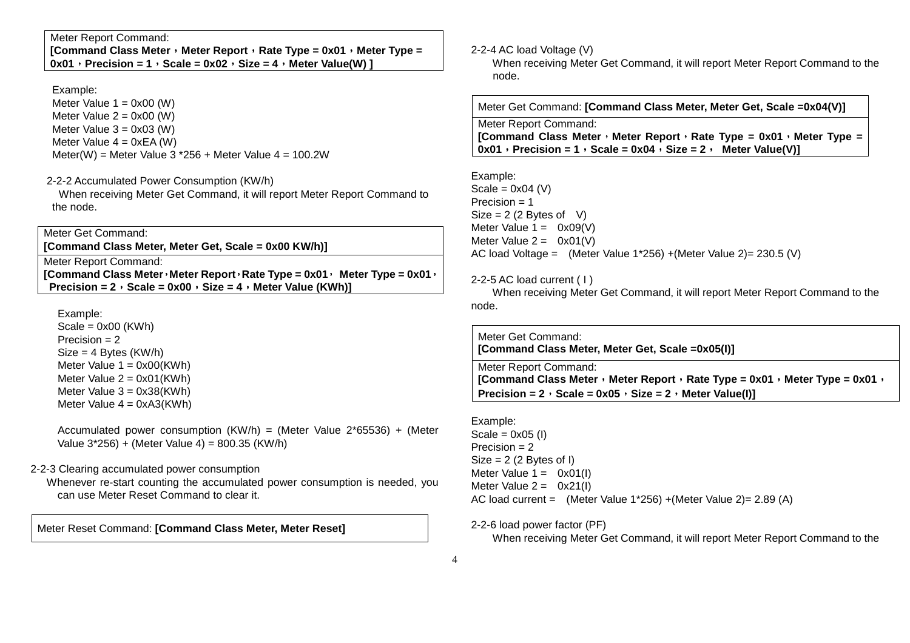**[Command Class Meter**,**Meter Report**,**Rate Type = 0x01**,**Meter Type =**  $0x01$ , Precision = 1, Scale =  $0x02$ , Size = 4, Meter Value(W) ]

#### Example:

Meter Value  $1 = 0 \times 00$  (W) Meter Value  $2 = 0 \times 00$  (W) Meter Value  $3 = 0 \times 03$  (W) Meter Value  $4 = 0xEA$  (W) Meter(W) = Meter Value  $3 *256 +$  Meter Value  $4 = 100.2W$ 

#### 2-2-2 Accumulated Power Consumption (KW/h)

 When receiving Meter Get Command, it will report Meter Report Command to the node.

Meter Get Command: **[Command Class Meter, Meter Get, Scale = 0x00 KW/h)]**

Meter Report Command: **[Command Class Meter**,**Meter Report**,**Rate Type = 0x01**, **Meter Type = 0x01**, **Precision = 2**,**Scale = 0x00**,**Size = 4**,**Meter Value (KWh)]**

Example:

 Scale = 0x00 (KWh) Precision = 2  $Size = 4$  Bytes  $(KW/h)$ Meter Value  $1 = 0x00$ (KWh) Meter Value  $2 = 0x01$ (KWh) Meter Value  $3 = 0x38$ (KWh) Meter Value  $4 = 0xA3(KWh)$ 

> Accumulated power consumption (KW/h) = (Meter Value 2\*65536) + (Meter Value 3\*256) + (Meter Value 4) = 800.35 (KW/h)

2-2-3 Clearing accumulated power consumption

 Whenever re-start counting the accumulated power consumption is needed, you can use Meter Reset Command to clear it.

Meter Reset Command: **[Command Class Meter, Meter Reset]**

#### 2-2-4 AC load Voltage (V)

 When receiving Meter Get Command, it will report Meter Report Command to the node.

Meter Get Command: **[Command Class Meter, Meter Get, Scale =0x04(V)]**

Meter Report Command: **[Command Class Meter**,**Meter Report**,**Rate Type = 0x01**,**Meter Type =**  $0x01$ , Precision = 1, Scale =  $0x04$ , Size = 2, Meter Value(V)]

Example: Scale =  $0x04$  (V) Precision = 1  $Size = 2 (2 \text{Bytes of } V)$ Meter Value  $1 = 0x09(V)$ Meter Value  $2 = 0x01(V)$ AC load Voltage = (Meter Value 1\*256) +(Meter Value 2)= 230.5 (V)

#### 2-2-5 AC load current ( I )

 When receiving Meter Get Command, it will report Meter Report Command to the node.

Meter Get Command:**[Command Class Meter, Meter Get, Scale =0x05(I)]**

Meter Report Command: **[Command Class Meter**,**Meter Report**,**Rate Type = 0x01**,**Meter Type = 0x01**,**Precision = 2**, **Scale = 0x05**, **Size = 2**, **Meter Value(I)**]

Example: Scale =  $0x05$  (I) Precision = 2  $Size = 2 (2 Bytes of I)$ Meter Value  $1 = 0 \times 01(1)$ Meter Value  $2 = 0x21(1)$ AC load current = (Meter Value 1\*256) +(Meter Value 2)= 2.89 (A)

2-2-6 load power factor (PF)

When receiving Meter Get Command, it will report Meter Report Command to the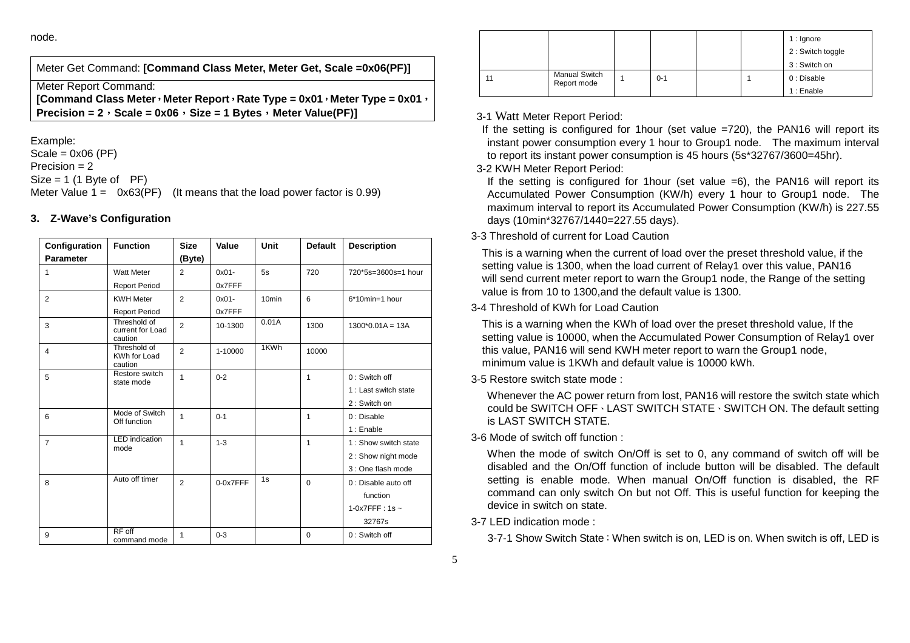node.

Meter Get Command: **[Command Class Meter, Meter Get, Scale =0x06(PF)]**

Meter Report Command:

 **[Command Class Meter**,**Meter Report**,**Rate Type = 0x01**,**Meter Type = 0x01**,**Precision = 2**,**Scale = 0x06**,**Size = 1 Bytes**,**Meter Value(PF)]**

Example:

 $Scale = 0x06 (PF)$ Precision  $= 2$  $Size = 1 (1 B)$  Byte of PF) Meter Value  $1 = 0x63(PF)$  (It means that the load power factor is 0.99)

## **3. Z-Wave's Configuration**

| Configuration    | <b>Function</b>                             | <b>Size</b>    | Value    | Unit              | <b>Default</b> | <b>Description</b>    |
|------------------|---------------------------------------------|----------------|----------|-------------------|----------------|-----------------------|
| <b>Parameter</b> |                                             | (Byte)         |          |                   |                |                       |
| 1                | <b>Watt Meter</b>                           | $\overline{2}$ | $0x01 -$ | 5s                | 720            | 720*5s=3600s=1 hour   |
|                  | <b>Report Period</b>                        |                | 0x7FFF   |                   |                |                       |
| 2                | <b>KWH Meter</b>                            | $\overline{2}$ | $0x01 -$ | 10 <sub>min</sub> | 6              | 6*10min=1 hour        |
|                  | <b>Report Period</b>                        |                | 0x7FFF   |                   |                |                       |
| 3                | Threshold of<br>current for Load<br>caution | $\overline{2}$ | 10-1300  | 0.01A             | 1300           | $1300*0.01A = 13A$    |
| $\overline{4}$   | Threshold of<br>KWh for Load<br>caution     | $\overline{2}$ | 1-10000  | 1KWh              | 10000          |                       |
| 5                | Restore switch<br>state mode                | 1              | $0 - 2$  |                   | 1              | $0:$ Switch off       |
|                  |                                             |                |          |                   |                | 1 : Last switch state |
|                  |                                             |                |          |                   |                | 2: Switch on          |
| 6                | Mode of Switch<br>Off function              | 1              | $0 - 1$  |                   | 1              | 0: Disable            |
|                  |                                             |                |          |                   |                | 1: Enable             |
| $\overline{7}$   | <b>LED</b> indication<br>mode               | 1              | $1 - 3$  |                   | 1              | 1 : Show switch state |
|                  |                                             |                |          |                   |                | 2 : Show night mode   |
|                  |                                             |                |          |                   |                | 3 : One flash mode    |
| 8                | Auto off timer                              | $\overline{2}$ | 0-0x7FFF | 1s                | $\Omega$       | 0 : Disable auto off  |
|                  |                                             |                |          |                   |                | function              |
|                  |                                             |                |          |                   |                | 1-0x7FFF: 1s $\sim$   |
|                  |                                             |                |          |                   |                | 32767s                |
| 9                | $RF$ off<br>command mode                    | $\mathbf{1}$   | $0 - 3$  |                   | $\Omega$       | 0: Switch off         |

|    |                                     |         |  | $1:$ Ignore<br>2 : Switch toggle<br>3 : Switch on |
|----|-------------------------------------|---------|--|---------------------------------------------------|
| 11 | <b>Manual Switch</b><br>Report mode | $0 - 1$ |  | 0 : Disable                                       |
|    |                                     |         |  | 1: Enable                                         |

## 3-1 Watt Meter Report Period:

If the setting is configured for 1hour (set value =720), the PAN16 will report its instant power consumption every 1 hour to Group1 node. The maximum interval to report its instant power consumption is 45 hours (5s\*32767/3600=45hr).

## 3-2 KWH Meter Report Period:

If the setting is configured for 1 hour (set value  $=6$ ), the PAN16 will report its Accumulated Power Consumption (KW/h) every 1 hour to Group1 node. The maximum interval to report its Accumulated Power Consumption (KW/h) is 227.55 days (10min\*32767/1440=227.55 days).

## 3-3 Threshold of current for Load Caution

This is a warning when the current of load over the preset threshold value, if the setting value is 1300, when the load current of Relay1 over this value, PAN16 will send current meter report to warn the Group1 node, the Range of the setting value is from 10 to 1300,and the default value is 1300.

## 3-4 Threshold of KWh for Load Caution

This is a warning when the KWh of load over the preset threshold value, If the setting value is 10000, when the Accumulated Power Consumption of Relay1 over this value, PAN16 will send KWH meter report to warn the Group1 node, minimum value is 1KWh and default value is 10000 kWh.

3-5 Restore switch state mode :

 Whenever the AC power return from lost, PAN16 will restore the switch state which could be SWITCH OFF、LAST SWITCH STATE、SWITCH ON. The default setting is LAST SWITCH STATE.

3-6 Mode of switch off function :

 When the mode of switch On/Off is set to 0, any command of switch off will be disabled and the On/Off function of include button will be disabled. The default setting is enable mode. When manual On/Off function is disabled, the RF command can only switch On but not Off. This is useful function for keeping the device in switch on state.

3-7 LED indication mode :

3-7-1 Show Switch State:When switch is on, LED is on. When switch is off, LED is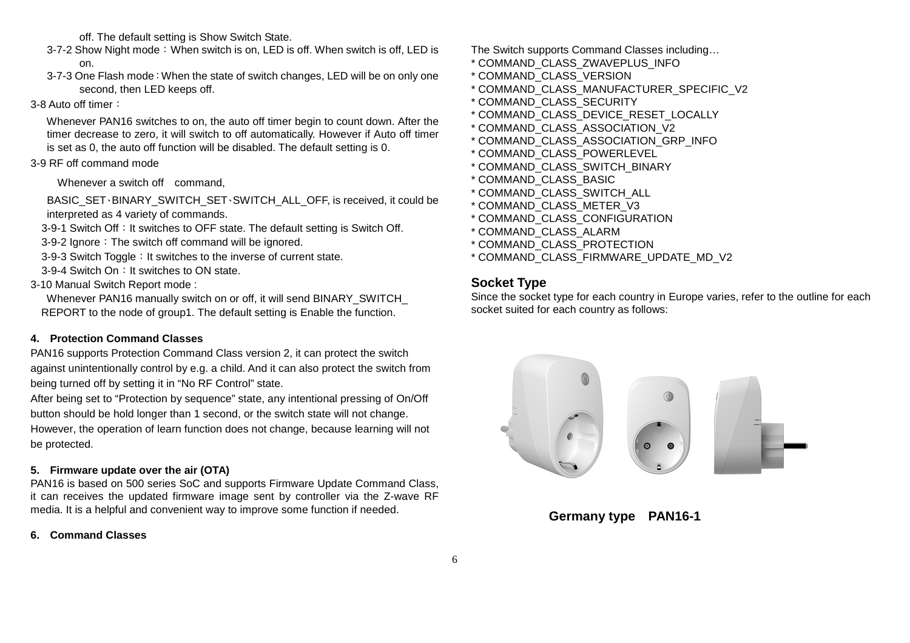off. The default setting is Show Switch State.

- 3-7-2 Show Night mode: When switch is on, LED is off. When switch is off, LED is on.
- 3-7-3 One Flash mode:When the state of switch changes, LED will be on only one second, then LED keeps off.

### 3-8 Auto off timer:

 Whenever PAN16 switches to on, the auto off timer begin to count down. After the timer decrease to zero, it will switch to off automatically. However if Auto off timer is set as 0, the auto off function will be disabled. The default setting is 0.

## 3-9 RF off command mode

Whenever a switch off command.

BASIC\_SET、BINARY\_SWITCH\_SET、SWITCH\_ALL\_OFF, is received, it could be interpreted as 4 variety of commands.

3-9-1 Switch Off: It switches to OFF state. The default setting is Switch Off.

3-9-2 Ignore: The switch off command will be ignored.

3-9-3 Switch Toggle: It switches to the inverse of current state.

- 3-9-4 Switch On: It switches to ON state.
- 3-10 Manual Switch Report mode :

 Whenever PAN16 manually switch on or off, it will send BINARY\_SWITCH\_ REPORT to the node of group1. The default setting is Enable the function.

## **4. Protection Command Classes**

 PAN16 supports Protection Command Class version 2, it can protect the switch against unintentionally control by e.g. a child. And it can also protect the switch from being turned off by setting it in "No RF Control" state.

After being set to "Protection by sequence" state, any intentional pressing of On/Off button should be hold longer than 1 second, or the switch state will not change. However, the operation of learn function does not change, because learning will not be protected.

## **5. Firmware update over the air (OTA)**

 PAN16 is based on 500 series SoC and supports Firmware Update Command Class, it can receives the updated firmware image sent by controller via the Z-wave RF media. It is a helpful and convenient way to improve some function if needed.

### **6. Command Classes**

The Switch supports Command Classes including…

- \* COMMAND\_CLASS\_ZWAVEPLUS\_INFO
- \* COMMAND\_CLASS\_VERSION
- \* COMMAND\_CLASS\_MANUFACTURER\_SPECIFIC\_V2
- \* COMMAND\_CLASS\_SECURITY
- \* COMMAND\_CLASS\_DEVICE\_RESET\_LOCALLY
- \* COMMAND\_CLASS\_ASSOCIATION\_V2
- \* COMMAND\_CLASS\_ASSOCIATION\_GRP\_INFO
- \* COMMAND\_CLASS\_POWERLEVEL
- \* COMMAND\_CLASS\_SWITCH\_BINARY
- \* COMMAND\_CLASS\_BASIC
- \* COMMAND\_CLASS\_SWITCH\_ALL
- \* COMMAND\_CLASS\_METER\_V3
- \* COMMAND\_CLASS\_CONFIGURATION
- \* COMMAND\_CLASS\_ALARM
- \* COMMAND\_CLASS\_PROTECTION
- \* COMMAND\_CLASS\_FIRMWARE\_UPDATE\_MD\_V2

## **Socket Type**

 Since the socket type for each country in Europe varies, refer to the outline for each socket suited for each country as follows:



## **Germany type PAN16-1**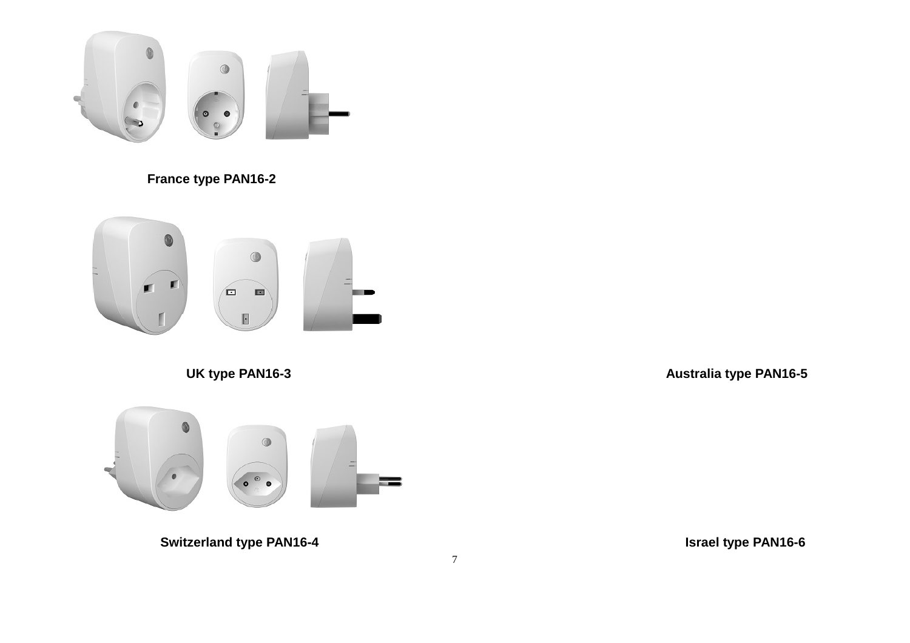

# **France type PAN16-2**



 **UK type PAN16-3** 

 **Australia type PAN16-5** 



**Switzerland type PAN16-4** 

 **Israel type PAN16-6**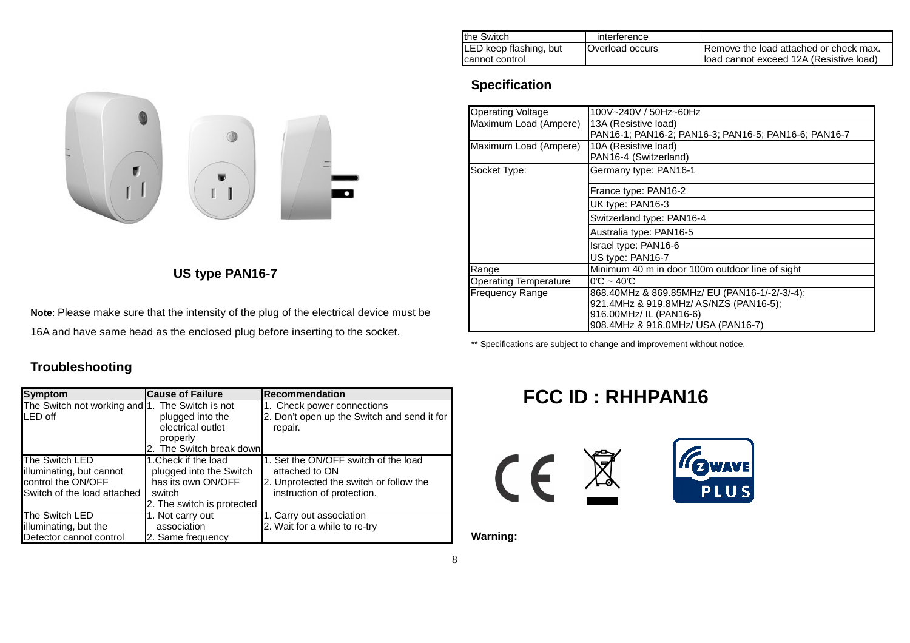| the Switch             | interference           |                                         |
|------------------------|------------------------|-----------------------------------------|
| LED keep flashing, but | <b>Overload occurs</b> | Remove the load attached or check max.  |
| <b>Icannot control</b> |                        | load cannot exceed 12A (Resistive load) |

# **Specification**

| <b>Operating Voltage</b>     | 100V~240V / 50Hz~60Hz                                                        |  |  |
|------------------------------|------------------------------------------------------------------------------|--|--|
| Maximum Load (Ampere)        | 13A (Resistive load)<br>PAN16-1; PAN16-2; PAN16-3; PAN16-5; PAN16-6; PAN16-7 |  |  |
| Maximum Load (Ampere)        | 10A (Resistive load)<br>PAN16-4 (Switzerland)                                |  |  |
| Socket Type:                 | Germany type: PAN16-1                                                        |  |  |
|                              | France type: PAN16-2                                                         |  |  |
|                              | UK type: PAN16-3                                                             |  |  |
|                              | Switzerland type: PAN16-4                                                    |  |  |
|                              | Australia type: PAN16-5                                                      |  |  |
|                              | Israel type: PAN16-6                                                         |  |  |
|                              | US type: PAN16-7                                                             |  |  |
| Range                        | Minimum 40 m in door 100m outdoor line of sight                              |  |  |
| <b>Operating Temperature</b> | $0^\circ$ ~ 40 $^\circ$                                                      |  |  |
| <b>Frequency Range</b>       | 868.40MHz & 869.85MHz/ EU (PAN16-1/-2/-3/-4);                                |  |  |
|                              | 921.4MHz & 919.8MHz/ AS/NZS (PAN16-5);                                       |  |  |
|                              | 916.00MHz/ IL (PAN16-6)                                                      |  |  |
|                              | 908.4MHz & 916.0MHz/ USA (PAN16-7)                                           |  |  |

\*\* Specifications are subject to change and improvement without notice.

# **FCC ID : RHHPAN16**





**Warning:**



## **US type PAN16-7**

**Note**: Please make sure that the intensity of the plug of the electrical device must be 16A and have same head as the enclosed plug before inserting to the socket.

## **Troubleshooting**

| <b>Symptom</b>                                  | <b>Cause of Failure</b>               | Recommendation                                         |
|-------------------------------------------------|---------------------------------------|--------------------------------------------------------|
| The Switch not working and 1. The Switch is not |                                       | 1. Check power connections                             |
| LED off                                         | plugged into the<br>electrical outlet | 2. Don't open up the Switch and send it for<br>repair. |
|                                                 | properly                              |                                                        |
|                                                 | 2. The Switch break downl             |                                                        |
| The Switch LED                                  | 1. Check if the load                  | 1. Set the ON/OFF switch of the load                   |
| illuminating, but cannot                        | plugged into the Switch               | attached to ON                                         |
| control the ON/OFF                              | has its own ON/OFF                    | 2. Unprotected the switch or follow the                |
| Switch of the load attached                     | switch                                | instruction of protection.                             |
|                                                 | 2. The switch is protected            |                                                        |
| The Switch LED                                  | 1. Not carry out                      | 1. Carry out association                               |
| illuminating, but the                           | association                           | 2. Wait for a while to re-try                          |
| Detector cannot control                         | 2. Same frequency                     |                                                        |